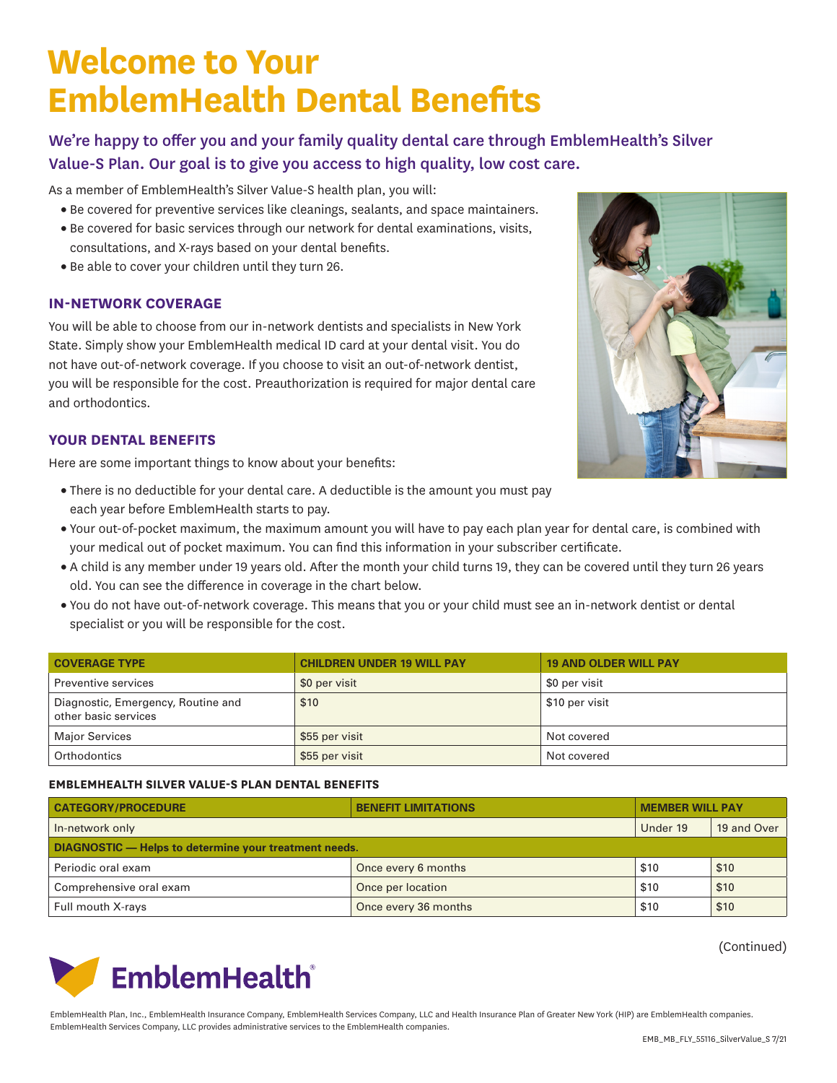## **Welcome to Your EmblemHealth Dental Benefits**

We're happy to offer you and your family quality dental care through EmblemHealth's Silver Value-S Plan. Our goal is to give you access to high quality, low cost care.

As a member of EmblemHealth's Silver Value-S health plan, you will:

- Be covered for preventive services like cleanings, sealants, and space maintainers.
- Be covered for basic services through our network for dental examinations, visits, consultations, and X-rays based on your dental benefits.
- Be able to cover your children until they turn 26.

## **IN-NETWORK COVERAGE**

You will be able to choose from our in-network dentists and specialists in New York State. Simply show your EmblemHealth medical ID card at your dental visit. You do not have out-of-network coverage. If you choose to visit an out-of-network dentist, you will be responsible for the cost. Preauthorization is required for major dental care and orthodontics.



Here are some important things to know about your benefits:

- There is no deductible for your dental care. A deductible is the amount you must pay each year before EmblemHealth starts to pay.
- Your out-of-pocket maximum, the maximum amount you will have to pay each plan year for dental care, is combined with your medical out of pocket maximum. You can find this information in your subscriber certificate.
- A child is any member under 19 years old. After the month your child turns 19, they can be covered until they turn 26 years old. You can see the difference in coverage in the chart below.
- You do not have out-of-network coverage. This means that you or your child must see an in-network dentist or dental specialist or you will be responsible for the cost.

| <b>COVERAGE TYPE</b>                                       | <b>CHILDREN UNDER 19 WILL PAY</b> | <b>19 AND OLDER WILL PAY</b> |
|------------------------------------------------------------|-----------------------------------|------------------------------|
| Preventive services                                        | \$0 per visit                     | \$0 per visit                |
| Diagnostic, Emergency, Routine and<br>other basic services | \$10                              | \$10 per visit               |
| <b>Major Services</b>                                      | \$55 per visit                    | Not covered                  |
| Orthodontics                                               | \$55 per visit                    | Not covered                  |

## **EMBLEMHEALTH SILVER VALUE-S PLAN DENTAL BENEFITS**

| <b>CATEGORY/PROCEDURE</b>                             | <b>BENEFIT LIMITATIONS</b> | <b>MEMBER WILL PAY</b> |             |  |  |
|-------------------------------------------------------|----------------------------|------------------------|-------------|--|--|
| In-network only                                       |                            | Under 19               | 19 and Over |  |  |
| DIAGNOSTIC - Helps to determine your treatment needs. |                            |                        |             |  |  |
| Periodic oral exam                                    | Once every 6 months        | \$10                   | \$10        |  |  |
| Comprehensive oral exam                               | Once per location          | \$10                   | \$10        |  |  |
| Full mouth X-rays                                     | Once every 36 months       | \$10                   | \$10        |  |  |

(Continued)



EmblemHealth Plan, Inc., EmblemHealth Insurance Company, EmblemHealth Services Company, LLC and Health Insurance Plan of Greater New York (HIP) are EmblemHealth companies. EmblemHealth Services Company, LLC provides administrative services to the EmblemHealth companies.